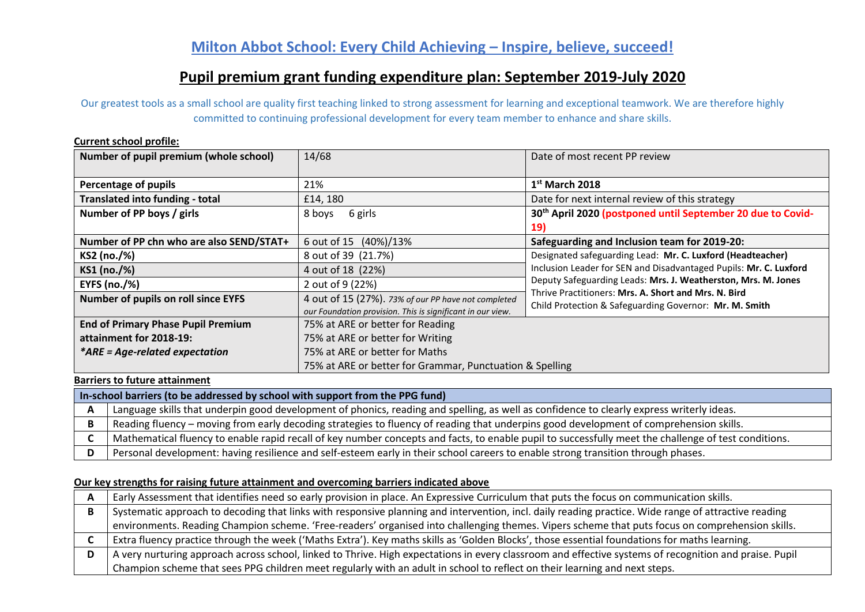# **Pupil premium grant funding expenditure plan: September 2019-July 2020**

Our greatest tools as a small school are quality first teaching linked to strong assessment for learning and exceptional teamwork. We are therefore highly committed to continuing professional development for every team member to enhance and share skills.

#### **Current school profile:**

| Number of pupil premium (whole school)    | 14/68                                                      | Date of most recent PP review                                           |  |  |
|-------------------------------------------|------------------------------------------------------------|-------------------------------------------------------------------------|--|--|
|                                           |                                                            |                                                                         |  |  |
| Percentage of pupils                      | 21%                                                        | $1st$ March 2018                                                        |  |  |
| <b>Translated into funding - total</b>    | £14, 180                                                   | Date for next internal review of this strategy                          |  |  |
| Number of PP boys / girls                 | 8 boys<br>6 girls                                          | 30 <sup>th</sup> April 2020 (postponed until September 20 due to Covid- |  |  |
|                                           |                                                            | <b>19)</b>                                                              |  |  |
| Number of PP chn who are also SEND/STAT+  | 6 out of 15 (40%)/13%                                      | Safeguarding and Inclusion team for 2019-20:                            |  |  |
| KS2 (no./%)                               | 8 out of 39 (21.7%)                                        | Designated safeguarding Lead: Mr. C. Luxford (Headteacher)              |  |  |
| KS1 (no./%)                               | 4 out of 18 (22%)                                          | Inclusion Leader for SEN and Disadvantaged Pupils: Mr. C. Luxford       |  |  |
| <b>EYFS (no./%)</b>                       | 2 out of 9 (22%)                                           | Deputy Safeguarding Leads: Mrs. J. Weatherston, Mrs. M. Jones           |  |  |
| Number of pupils on roll since EYFS       | 4 out of 15 (27%). 73% of our PP have not completed        | Thrive Practitioners: Mrs. A. Short and Mrs. N. Bird                    |  |  |
|                                           | our Foundation provision. This is significant in our view. | Child Protection & Safeguarding Governor: Mr. M. Smith                  |  |  |
| <b>End of Primary Phase Pupil Premium</b> | 75% at ARE or better for Reading                           |                                                                         |  |  |
| attainment for 2018-19:                   | 75% at ARE or better for Writing                           |                                                                         |  |  |
| *ARE = Age-related expectation            | 75% at ARE or better for Maths                             |                                                                         |  |  |
|                                           | 75% at ARE or better for Grammar, Punctuation & Spelling   |                                                                         |  |  |

### **Barriers to future attainment**

**In-school barriers (to be addressed by school with support from the PPG fund)**

| Language skills that underpin good development of phonics, reading and spelling, as well as confidence to clearly express writerly ideas.            |
|------------------------------------------------------------------------------------------------------------------------------------------------------|
| Reading fluency – moving from early decoding strategies to fluency of reading that underpins good development of comprehension skills.               |
| Mathematical fluency to enable rapid recall of key number concepts and facts, to enable pupil to successfully meet the challenge of test conditions. |
| Personal development: having resilience and self-esteem early in their school careers to enable strong transition through phases.                    |

### **Our key strengths for raising future attainment and overcoming barriers indicated above**

| Early Assessment that identifies need so early provision in place. An Expressive Curriculum that puts the focus on communication skills.               |
|--------------------------------------------------------------------------------------------------------------------------------------------------------|
| Systematic approach to decoding that links with responsive planning and intervention, incl. daily reading practice. Wide range of attractive reading   |
| environments. Reading Champion scheme. 'Free-readers' organised into challenging themes. Vipers scheme that puts focus on comprehension skills.        |
| Extra fluency practice through the week ('Maths Extra'). Key maths skills as 'Golden Blocks', those essential foundations for maths learning.          |
| A very nurturing approach across school, linked to Thrive. High expectations in every classroom and effective systems of recognition and praise. Pupil |
|                                                                                                                                                        |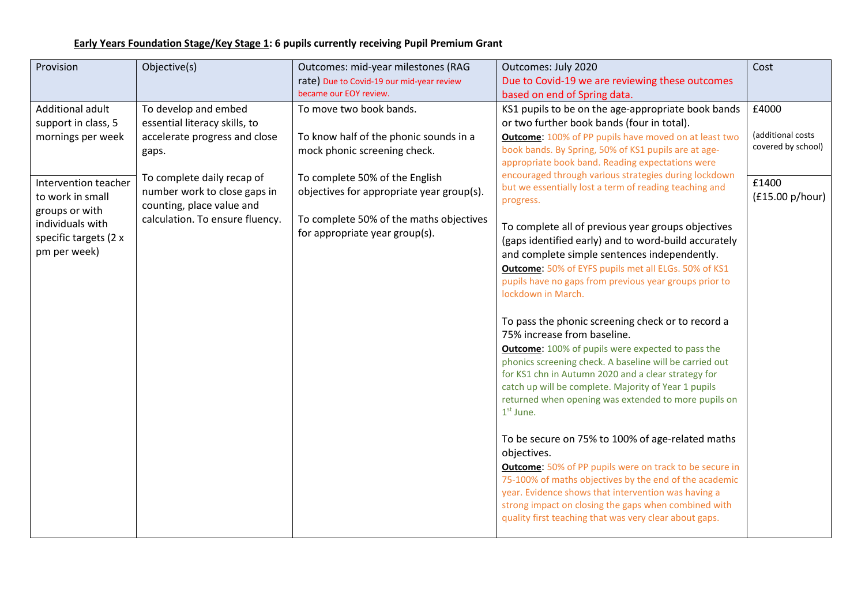# **Early Years Foundation Stage/Key Stage 1: 6 pupils currently receiving Pupil Premium Grant**

| Provision             | Objective(s)                    | Outcomes: mid-year milestones (RAG        | Outcomes: July 2020                                                           | Cost               |
|-----------------------|---------------------------------|-------------------------------------------|-------------------------------------------------------------------------------|--------------------|
|                       |                                 | rate) Due to Covid-19 our mid-year review | Due to Covid-19 we are reviewing these outcomes                               |                    |
|                       |                                 | became our EOY review.                    | based on end of Spring data.                                                  |                    |
| Additional adult      | To develop and embed            | To move two book bands.                   | KS1 pupils to be on the age-appropriate book bands                            | £4000              |
| support in class, 5   | essential literacy skills, to   |                                           | or two further book bands (four in total).                                    |                    |
| mornings per week     | accelerate progress and close   | To know half of the phonic sounds in a    | <b>Outcome: 100%</b> of PP pupils have moved on at least two                  | (additional costs  |
|                       | gaps.                           | mock phonic screening check.              | book bands. By Spring, 50% of KS1 pupils are at age-                          | covered by school) |
|                       |                                 |                                           | appropriate book band. Reading expectations were                              |                    |
| Intervention teacher  | To complete daily recap of      | To complete 50% of the English            | encouraged through various strategies during lockdown                         | £1400              |
| to work in small      | number work to close gaps in    | objectives for appropriate year group(s). | but we essentially lost a term of reading teaching and                        | (£15.00 p/hour)    |
| groups or with        | counting, place value and       |                                           | progress.                                                                     |                    |
| individuals with      | calculation. To ensure fluency. | To complete 50% of the maths objectives   | To complete all of previous year groups objectives                            |                    |
| specific targets (2 x |                                 | for appropriate year group(s).            | (gaps identified early) and to word-build accurately                          |                    |
| pm per week)          |                                 |                                           | and complete simple sentences independently.                                  |                    |
|                       |                                 |                                           | <b>Outcome: 50% of EYFS pupils met all ELGs. 50% of KS1</b>                   |                    |
|                       |                                 |                                           | pupils have no gaps from previous year groups prior to                        |                    |
|                       |                                 |                                           | lockdown in March.                                                            |                    |
|                       |                                 |                                           |                                                                               |                    |
|                       |                                 |                                           | To pass the phonic screening check or to record a                             |                    |
|                       |                                 |                                           | 75% increase from baseline.                                                   |                    |
|                       |                                 |                                           | <b>Outcome:</b> 100% of pupils were expected to pass the                      |                    |
|                       |                                 |                                           | phonics screening check. A baseline will be carried out                       |                    |
|                       |                                 |                                           | for KS1 chn in Autumn 2020 and a clear strategy for                           |                    |
|                       |                                 |                                           | catch up will be complete. Majority of Year 1 pupils                          |                    |
|                       |                                 |                                           | returned when opening was extended to more pupils on<br>1 <sup>st</sup> June. |                    |
|                       |                                 |                                           |                                                                               |                    |
|                       |                                 |                                           | To be secure on 75% to 100% of age-related maths                              |                    |
|                       |                                 |                                           | objectives.                                                                   |                    |
|                       |                                 |                                           | <b>Outcome:</b> 50% of PP pupils were on track to be secure in                |                    |
|                       |                                 |                                           | 75-100% of maths objectives by the end of the academic                        |                    |
|                       |                                 |                                           | year. Evidence shows that intervention was having a                           |                    |
|                       |                                 |                                           | strong impact on closing the gaps when combined with                          |                    |
|                       |                                 |                                           | quality first teaching that was very clear about gaps.                        |                    |
|                       |                                 |                                           |                                                                               |                    |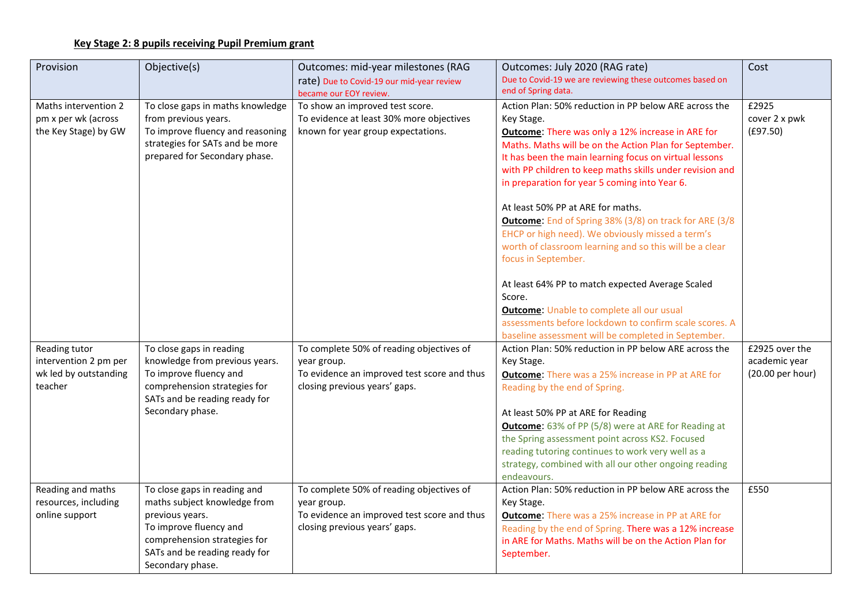## **Key Stage 2: 8 pupils receiving Pupil Premium grant**

| Provision                                                                  | Objective(s)                                                                                                                                                                                   | Outcomes: mid-year milestones (RAG<br>rate) Due to Covid-19 our mid-year review                                                         | Outcomes: July 2020 (RAG rate)<br>Due to Covid-19 we are reviewing these outcomes based on                                                                                                                                                                                                                                                                                                            | Cost                                                |
|----------------------------------------------------------------------------|------------------------------------------------------------------------------------------------------------------------------------------------------------------------------------------------|-----------------------------------------------------------------------------------------------------------------------------------------|-------------------------------------------------------------------------------------------------------------------------------------------------------------------------------------------------------------------------------------------------------------------------------------------------------------------------------------------------------------------------------------------------------|-----------------------------------------------------|
|                                                                            |                                                                                                                                                                                                | became our EOY review.                                                                                                                  | end of Spring data.                                                                                                                                                                                                                                                                                                                                                                                   |                                                     |
| Maths intervention 2<br>pm x per wk (across<br>the Key Stage) by GW        | To close gaps in maths knowledge<br>from previous years.<br>To improve fluency and reasoning<br>strategies for SATs and be more<br>prepared for Secondary phase.                               | To show an improved test score.<br>To evidence at least 30% more objectives<br>known for year group expectations.                       | Action Plan: 50% reduction in PP below ARE across the<br>Key Stage.<br><b>Outcome: There was only a 12% increase in ARE for</b><br>Maths. Maths will be on the Action Plan for September.<br>It has been the main learning focus on virtual lessons<br>with PP children to keep maths skills under revision and<br>in preparation for year 5 coming into Year 6.<br>At least 50% PP at ARE for maths. | £2925<br>cover 2 x pwk<br>(E97.50)                  |
|                                                                            |                                                                                                                                                                                                |                                                                                                                                         | Outcome: End of Spring 38% (3/8) on track for ARE (3/8<br>EHCP or high need). We obviously missed a term's<br>worth of classroom learning and so this will be a clear<br>focus in September.<br>At least 64% PP to match expected Average Scaled                                                                                                                                                      |                                                     |
|                                                                            |                                                                                                                                                                                                |                                                                                                                                         | Score.                                                                                                                                                                                                                                                                                                                                                                                                |                                                     |
|                                                                            |                                                                                                                                                                                                |                                                                                                                                         | <b>Outcome: Unable to complete all our usual</b>                                                                                                                                                                                                                                                                                                                                                      |                                                     |
|                                                                            |                                                                                                                                                                                                |                                                                                                                                         | assessments before lockdown to confirm scale scores. A                                                                                                                                                                                                                                                                                                                                                |                                                     |
| Reading tutor<br>intervention 2 pm per<br>wk led by outstanding<br>teacher | To close gaps in reading<br>knowledge from previous years.<br>To improve fluency and<br>comprehension strategies for<br>SATs and be reading ready for<br>Secondary phase.                      | To complete 50% of reading objectives of<br>year group.<br>To evidence an improved test score and thus<br>closing previous years' gaps. | baseline assessment will be completed in September.<br>Action Plan: 50% reduction in PP below ARE across the<br>Key Stage.<br><b>Outcome:</b> There was a 25% increase in PP at ARE for<br>Reading by the end of Spring.<br>At least 50% PP at ARE for Reading                                                                                                                                        | £2925 over the<br>academic year<br>(20.00 per hour) |
|                                                                            |                                                                                                                                                                                                |                                                                                                                                         | <b>Outcome:</b> 63% of PP (5/8) were at ARE for Reading at<br>the Spring assessment point across KS2. Focused<br>reading tutoring continues to work very well as a<br>strategy, combined with all our other ongoing reading<br>endeavours.                                                                                                                                                            |                                                     |
| Reading and maths<br>resources, including<br>online support                | To close gaps in reading and<br>maths subject knowledge from<br>previous years.<br>To improve fluency and<br>comprehension strategies for<br>SATs and be reading ready for<br>Secondary phase. | To complete 50% of reading objectives of<br>year group.<br>To evidence an improved test score and thus<br>closing previous years' gaps. | Action Plan: 50% reduction in PP below ARE across the<br>Key Stage.<br><b>Outcome:</b> There was a 25% increase in PP at ARE for<br>Reading by the end of Spring. There was a 12% increase<br>in ARE for Maths. Maths will be on the Action Plan for<br>September.                                                                                                                                    | £550                                                |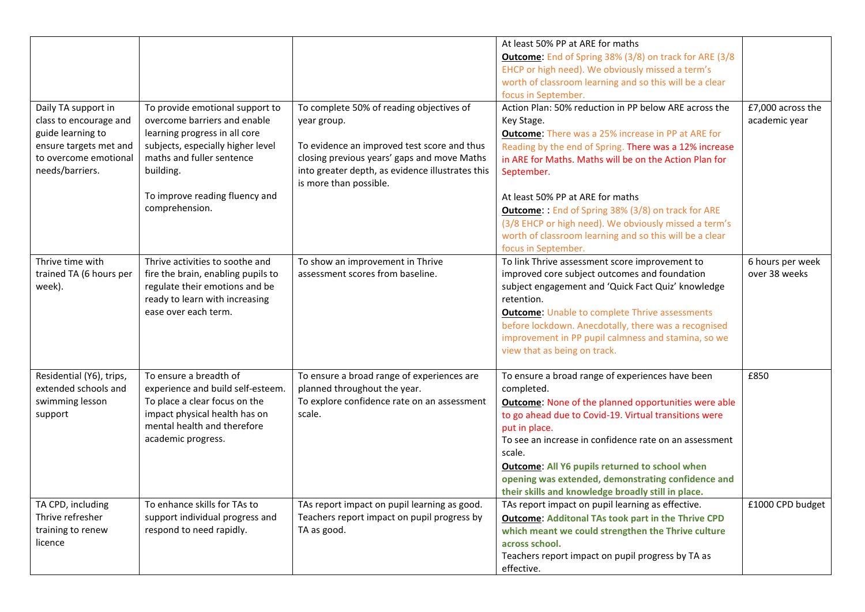|                          |                                                                |                                                                            | At least 50% PP at ARE for maths                                        |                   |
|--------------------------|----------------------------------------------------------------|----------------------------------------------------------------------------|-------------------------------------------------------------------------|-------------------|
|                          |                                                                |                                                                            | <b>Outcome:</b> End of Spring 38% (3/8) on track for ARE (3/8)          |                   |
|                          |                                                                |                                                                            | EHCP or high need). We obviously missed a term's                        |                   |
|                          |                                                                |                                                                            | worth of classroom learning and so this will be a clear                 |                   |
|                          |                                                                |                                                                            | focus in September.                                                     |                   |
| Daily TA support in      | To provide emotional support to                                | To complete 50% of reading objectives of                                   | Action Plan: 50% reduction in PP below ARE across the                   | £7,000 across the |
| class to encourage and   | overcome barriers and enable                                   | year group.                                                                | Key Stage.                                                              | academic year     |
| guide learning to        | learning progress in all core                                  |                                                                            | <b>Outcome:</b> There was a 25% increase in PP at ARE for               |                   |
| ensure targets met and   | subjects, especially higher level                              | To evidence an improved test score and thus                                | Reading by the end of Spring. There was a 12% increase                  |                   |
| to overcome emotional    | maths and fuller sentence                                      | closing previous years' gaps and move Maths                                | in ARE for Maths. Maths will be on the Action Plan for                  |                   |
| needs/barriers.          | building.                                                      | into greater depth, as evidence illustrates this<br>is more than possible. | September.                                                              |                   |
|                          | To improve reading fluency and                                 |                                                                            | At least 50% PP at ARE for maths                                        |                   |
|                          | comprehension.                                                 |                                                                            | <b>Outcome::</b> End of Spring 38% (3/8) on track for ARE               |                   |
|                          |                                                                |                                                                            | (3/8 EHCP or high need). We obviously missed a term's                   |                   |
|                          |                                                                |                                                                            | worth of classroom learning and so this will be a clear                 |                   |
|                          |                                                                |                                                                            | focus in September.                                                     |                   |
| Thrive time with         | Thrive activities to soothe and                                | To show an improvement in Thrive                                           | To link Thrive assessment score improvement to                          | 6 hours per week  |
| trained TA (6 hours per  | fire the brain, enabling pupils to                             | assessment scores from baseline.                                           | improved core subject outcomes and foundation                           | over 38 weeks     |
| week).                   | regulate their emotions and be                                 |                                                                            | subject engagement and 'Quick Fact Quiz' knowledge                      |                   |
|                          | ready to learn with increasing                                 |                                                                            | retention.                                                              |                   |
|                          | ease over each term.                                           |                                                                            | <b>Outcome: Unable to complete Thrive assessments</b>                   |                   |
|                          |                                                                |                                                                            | before lockdown. Anecdotally, there was a recognised                    |                   |
|                          |                                                                |                                                                            | improvement in PP pupil calmness and stamina, so we                     |                   |
|                          |                                                                |                                                                            | view that as being on track.                                            |                   |
| Residential (Y6), trips, | To ensure a breadth of                                         | To ensure a broad range of experiences are                                 | To ensure a broad range of experiences have been                        | £850              |
| extended schools and     | experience and build self-esteem.                              | planned throughout the year.                                               | completed.                                                              |                   |
| swimming lesson          | To place a clear focus on the<br>impact physical health has on | To explore confidence rate on an assessment<br>scale.                      | <b>Outcome:</b> None of the planned opportunities were able             |                   |
| support                  | mental health and therefore                                    |                                                                            | to go ahead due to Covid-19. Virtual transitions were                   |                   |
|                          | academic progress.                                             |                                                                            | put in place.<br>To see an increase in confidence rate on an assessment |                   |
|                          |                                                                |                                                                            | scale.                                                                  |                   |
|                          |                                                                |                                                                            | <b>Outcome: All Y6 pupils returned to school when</b>                   |                   |
|                          |                                                                |                                                                            | opening was extended, demonstrating confidence and                      |                   |
|                          |                                                                |                                                                            | their skills and knowledge broadly still in place.                      |                   |
| TA CPD, including        | To enhance skills for TAs to                                   | TAs report impact on pupil learning as good.                               | TAs report impact on pupil learning as effective.                       | £1000 CPD budget  |
| Thrive refresher         | support individual progress and                                | Teachers report impact on pupil progress by                                | <b>Outcome: Additonal TAs took part in the Thrive CPD</b>               |                   |
| training to renew        | respond to need rapidly.                                       | TA as good.                                                                | which meant we could strengthen the Thrive culture                      |                   |
| licence                  |                                                                |                                                                            | across school.                                                          |                   |
|                          |                                                                |                                                                            | Teachers report impact on pupil progress by TA as                       |                   |
|                          |                                                                |                                                                            | effective.                                                              |                   |